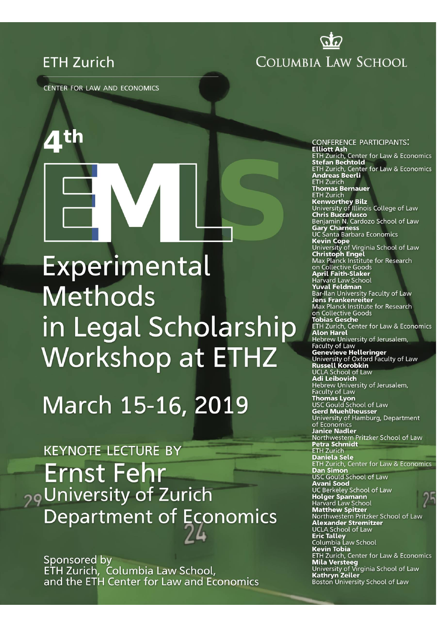# **ETH Zurich**

COLUMBIA LAW SCHOOL

<u>ପ୍ରର</u>

CENTER FOR LAW AND ECONOMICS

# Experimental **Methods** in Legal Scholarship **Workshop at ETHZ**

March 15-16, 2019

**KEYNOTE LECTURE BY Ernst Fehr** <sub>29</sub> University of Zurich **Department of Economics** 

Sponsored by ETH Zurich, Columbia Law School,<br>and the ETH Center for Law and Economics

**CONFERENCE PARTICIPANTS: Elliott Ash** ETH Zurich, Center for Law & Economics ETH Zurich, Center for Law & Economics Andreas Beerli **ETH Zurich Thomas Bernauer**<br>ETH Zurich **Kenworthey Bilz**<br>University of Illinois College of Law **Chris Buccafusco** Benjamin N. Cardozo School of Law Benjamma R. Caraczo Sansa<br>**Gary Charness**<br>**Kevin Cope**<br>**Kevin Cope** Viscinia School University of Virginia School of Law **Christoph Engel<br>Max Planck Institute for Research<br>on Collective Goods April Faith-Slaker** Harvard Law School Yuval Feldman Bar-Ilan University Faculty of Law **Jens Frankenreiter**<br>Max Planck Institute for Research on Collective Goods **Tobias Gesche ETH Zurich, Center for Law & Economics Alon Harel** Hebrew University of Jerusalem. Hebrew University of Jerusatem,<br>Faculty of Law<br>**Genevieve Helleringer**<br>University of Oxford Faculty of Law<br>**Russell Korobkin Nassett Roromini<br>UCLA School of Law<br><b>Adi Leibovich** Hebrew University of Jerusalem, Faculty of Law **Thomas Lyon<br>USC Gould School of Law**<br>**Gerd Muehlheusser** University of Hamburg, Department of Economics **Janice Nadler Parice Nadder**<br>Northwestern Pritzker School of Law<br>**Petra Schmidt**<br>ETH Zurich **Daniela Sele** ETH Zurich, Center for Law & Economics Dan Simon USC Gould School of Law **Avani Sood Avani 3000**<br>UC Berkeley School of Law<br>**Holger Spamann**<br>Harvard Law School **Matthew Spitzer** Northwestern Pritzker School of Law Alexander Stremitzer UCLA School of Law **Eric Talley**<br> **Eric Talley**<br>
Columbia Law School **Kevin Tobia ETH Zurich, Center for Law & Economics Example The Manufacture Control Control Mila Versteeg**<br>University of Virginia School of Law<br>**Kathryn Zeiler**<br>Boston University School of Law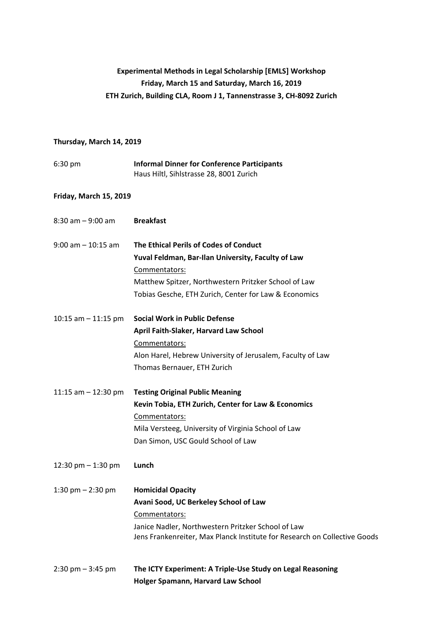## **Experimental Methods in Legal Scholarship [EMLS] Workshop Friday, March 15 and Saturday, March 16, 2019 ETH Zurich, Building CLA, Room J 1, Tannenstrasse 3, CH-8092 Zurich**

#### **Thursday, March 14, 2019**

| $6:30$ pm | <b>Informal Dinner for Conference Participants</b> |
|-----------|----------------------------------------------------|
|           | Haus Hiltl, Sihlstrasse 28, 8001 Zurich            |

### **Friday, March 15, 2019**

| $8:30$ am $-9:00$ am                | <b>Breakfast</b>                                                                                                                |
|-------------------------------------|---------------------------------------------------------------------------------------------------------------------------------|
| $9:00$ am $-10:15$ am               | The Ethical Perils of Codes of Conduct                                                                                          |
|                                     | Yuval Feldman, Bar-Ilan University, Faculty of Law                                                                              |
|                                     | Commentators:                                                                                                                   |
|                                     | Matthew Spitzer, Northwestern Pritzker School of Law                                                                            |
|                                     | Tobias Gesche, ETH Zurich, Center for Law & Economics                                                                           |
| 10:15 am $-$ 11:15 pm               | <b>Social Work in Public Defense</b>                                                                                            |
|                                     | April Faith-Slaker, Harvard Law School                                                                                          |
|                                     | Commentators:                                                                                                                   |
|                                     | Alon Harel, Hebrew University of Jerusalem, Faculty of Law                                                                      |
|                                     | Thomas Bernauer, ETH Zurich                                                                                                     |
| 11:15 am $-$ 12:30 pm               | <b>Testing Original Public Meaning</b>                                                                                          |
|                                     | Kevin Tobia, ETH Zurich, Center for Law & Economics                                                                             |
|                                     | Commentators:                                                                                                                   |
|                                     | Mila Versteeg, University of Virginia School of Law                                                                             |
|                                     | Dan Simon, USC Gould School of Law                                                                                              |
| 12:30 pm $-$ 1:30 pm                | Lunch                                                                                                                           |
| 1:30 pm $- 2:30$ pm                 | <b>Homicidal Opacity</b>                                                                                                        |
|                                     | Avani Sood, UC Berkeley School of Law                                                                                           |
|                                     | Commentators:                                                                                                                   |
|                                     | Janice Nadler, Northwestern Pritzker School of Law<br>Jens Frankenreiter, Max Planck Institute for Research on Collective Goods |
| $2:30 \text{ pm} - 3:45 \text{ pm}$ | The ICTY Experiment: A Triple-Use Study on Legal Reasoning<br>Holger Spamann, Harvard Law School                                |